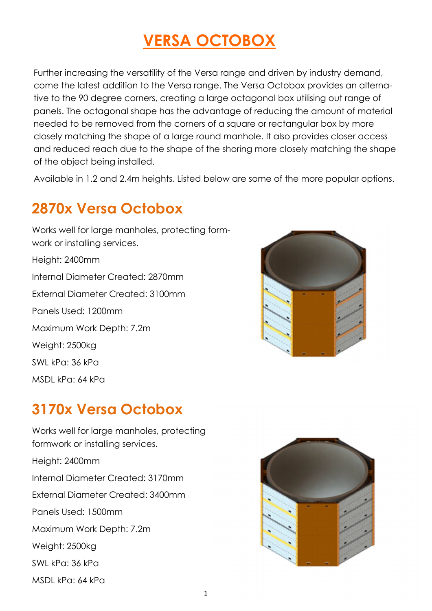# **VERSA OCTOBOX**

Further increasing the versatility of the Versa range and driven by industry demand, come the latest addition to the Versa range. The Versa Octobox provides an alternative to the 90 degree corners, creating a large octagonal box utilising out range of panels. The octagonal shape has the advantage of reducing the amount of material needed to be removed from the corners of a square or rectangular box by more closely matching the shape of a large round manhole. It also provides closer access and reduced reach due to the shape of the shoring more closely matching the shape of the object being installed.

Available in 1.2 and 2.4m heights. Listed below are some of the more popular options.

## **2870x Versa Octobox**





#### **3170x Versa Octobox**

Works well for large manholes, protecting formwork or installing services. Height: 2400mm Internal Diameter Created: 3170mm External Diameter Created: 3400mm Panels Used: 1500mm Maximum Work Depth: 7.2m Weight: 2500kg SWL kPa: 36 kPa MSDL kPa: 64 kPa

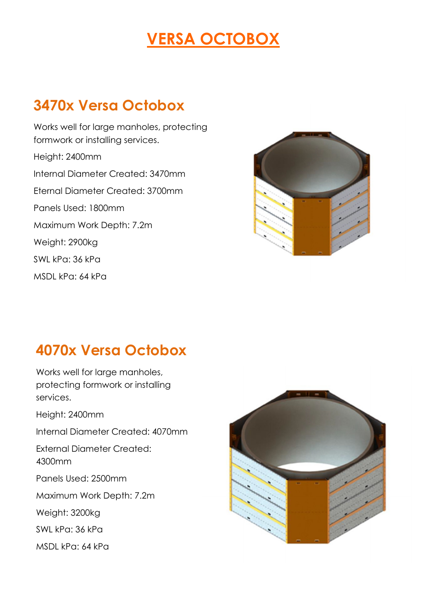# **VERSA OCTOBOX**

## **3470x Versa Octobox**

Works well for large manholes, protecting formwork or installing services. Height: 2400mm Internal Diameter Created: 3470mm Eternal Diameter Created: 3700mm Panels Used: 1800mm Maximum Work Depth: 7.2m Weight: 2900kg SWL kPa: 36 kPa MSDL kPa: 64 kPa



#### **4070x Versa Octobox**

Works well for large manholes, protecting formwork or installing services. Height: 2400mm Internal Diameter Created: 4070mm

External Diameter Created:

4300mm

Panels Used: 2500mm

Maximum Work Depth: 7.2m

Weight: 3200kg

SWL kPa: 36 kPa

MSDL kPa: 64 kPa